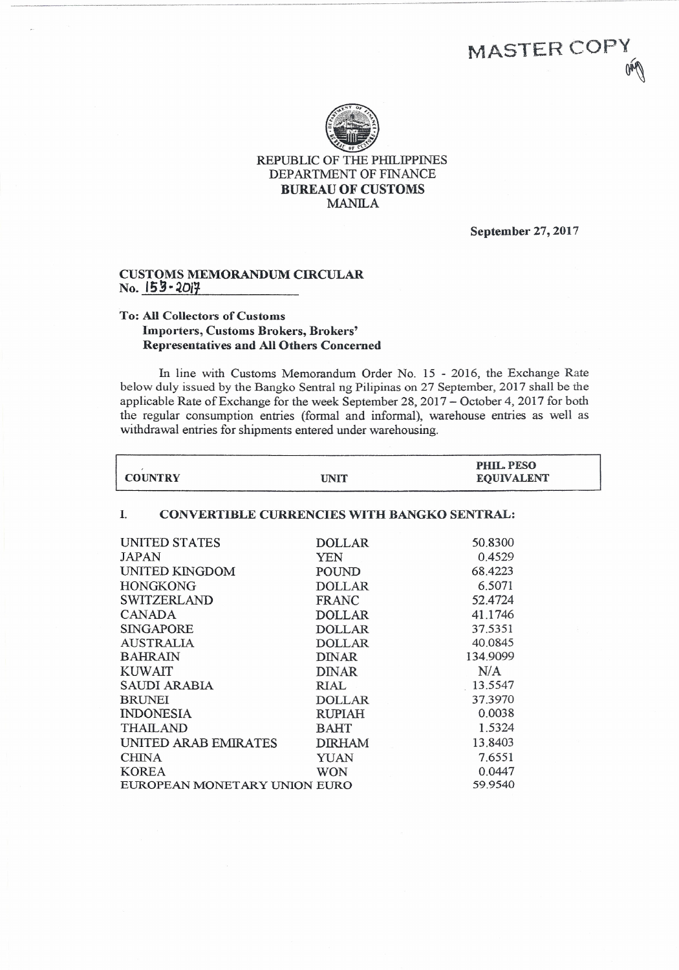

---------------------------------------- ---------------------

REPUBLIC OF THE PHILIPPINES DEPARTMENT OF FINANCE **BUREAU OF CUSTOMS** MANILA

September 27, 2017

MASTER COPY

~

## **CUSTOMS MEMORANDUM CIRCULAR** No. **I;g·***~O;t*

## To: All Collectors of Customs Importers, Customs Brokers, Brokers' Representatives and All Others Concerned

In line with Customs Memorandum Order No. 15 - 2016, the Exchange Rate below duly issued by the Bangko Sentral ng Pilipinas on 27 September, 2017 shall be the applicable Rate of Exchange for the week September 28,2017 - October 4, 2017 for both the regular consumption entries (formal and informal), warehouse entries as well as withdrawal entries for shipments entered under warehousing.

| <b>COUNTRY</b>                                           | <b>UNIT</b>   | PHIL. PESO<br><b>EQUIVALENT</b> |  |  |
|----------------------------------------------------------|---------------|---------------------------------|--|--|
| <b>CONVERTIBLE CURRENCIES WITH BANGKO SENTRAL:</b><br>I. |               |                                 |  |  |
| <b>UNITED STATES</b>                                     | <b>DOLLAR</b> | 50.8300                         |  |  |
| <b>JAPAN</b>                                             | YEN           | 0.4529                          |  |  |
| <b>UNITED KINGDOM</b>                                    | POUND         | 68.4223                         |  |  |
| <b>HONGKONG</b>                                          | <b>DOLLAR</b> | 6.5071                          |  |  |
| <b>SWITZERLAND</b>                                       | FRANC         | 52.4724                         |  |  |
| <b>CANADA</b>                                            | <b>DOLLAR</b> | 41.1746                         |  |  |
| <b>SINGAPORE</b>                                         | <b>DOLLAR</b> | 37.5351                         |  |  |
| <b>AUSTRALIA</b>                                         | <b>DOLLAR</b> | 40.0845                         |  |  |
| <b>BAHRAIN</b>                                           | <b>DINAR</b>  | 134.9099                        |  |  |
| <b>KUWAIT</b>                                            | <b>DINAR</b>  | N/A                             |  |  |
| SAUDI ARABIA                                             | RIAL          | 13.5547                         |  |  |
| <b>BRUNEI</b>                                            | <b>DOLLAR</b> | 37.3970                         |  |  |
| <b>INDONESIA</b>                                         | <b>RUPIAH</b> | 0.0038                          |  |  |
| <b>THAILAND</b>                                          | <b>BAHT</b>   | 1.5324                          |  |  |
| UNITED ARAB EMIRATES                                     | <b>DIRHAM</b> | 13.8403                         |  |  |
| <b>CHINA</b>                                             | YUAN          | 7.6551                          |  |  |
| <b>KOREA</b>                                             | <b>WON</b>    | 0.0447                          |  |  |
| EUROPEAN MONETARY UNION EURO                             |               | 59.9540                         |  |  |